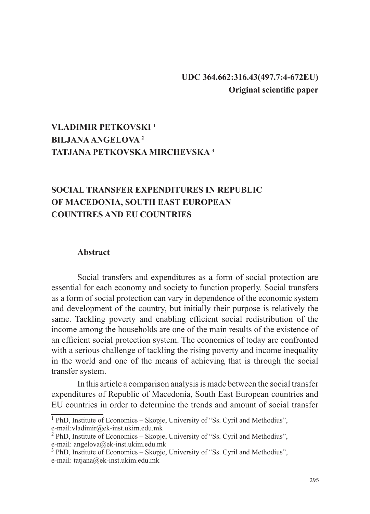## **UDC 364.662:316.43(497.7:4-672EU) Original scientific paper**

# **VLADIMIR PETKOVSKI <sup>1</sup> BILJANA ANGELOVA <sup>2</sup> TATJANA PETKOVSKA MIRCHEVSKA 3**

# **SOCIAL TRANSFER EXPENDITURES IN REPUBLIC OF MACEDONIA, SOUTH EAST EUROPEAN COUNTIRES AND EU COUNTRIES**

#### **Abstract**

Social transfers and expenditures as a form of social protection are essential for each economy and society to function properly. Social transfers as a form of social protection can vary in dependence of the economic system and development of the country, but initially their purpose is relatively the same. Tackling poverty and enabling efficient social redistribution of the income among the households are one of the main results of the existence of an efficient social protection system. The economies of today are confronted with a serious challenge of tackling the rising poverty and income inequality in the world and one of the means of achieving that is through the social transfer system.

In this article a comparison analysis is made between the social transfer expenditures of Republic of Macedonia, South East European countries and EU countries in order to determine the trends and amount of social transfer

<sup>&</sup>lt;sup>1</sup> PhD, Institute of Economics - Skopje, University of "Ss. Cyril and Methodius",

e-mail:vladimir@ek-inst.ukim.edu.mk<br><sup>2</sup> PhD, Institute of Economics – Skopje, University of "Ss. Cyril and Methodius", e-mail: angelova@ek-inst.ukim.edu.mk

<sup>&</sup>lt;sup>3</sup> PhD, Institute of Economics – Skopje, University of "Ss. Cyril and Methodius", e-mail: tatjana@ek-inst.ukim.edu.mk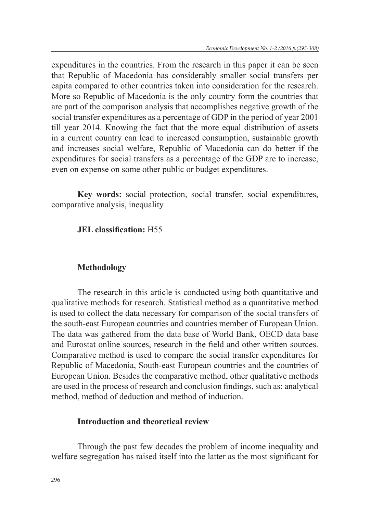expenditures in the countries. From the research in this paper it can be seen that Republic of Macedonia has considerably smaller social transfers per capita compared to other countries taken into consideration for the research. More so Republic of Macedonia is the only country form the countries that are part of the comparison analysis that accomplishes negative growth of the social transfer expenditures as a percentage of GDP in the period of year 2001 till year 2014. Knowing the fact that the more equal distribution of assets in a current country can lead to increased consumption, sustainable growth and increases social welfare, Republic of Macedonia can do better if the expenditures for social transfers as a percentage of the GDP are to increase, even on expense on some other public or budget expenditures.

**Key words:** social protection, social transfer, social expenditures, comparative analysis, inequality

### **JEL classification:** H55

### **Methodology**

The research in this article is conducted using both quantitative and qualitative methods for research. Statistical method as a quantitative method is used to collect the data necessary for comparison of the social transfers of the south-east European countries and countries member of European Union. The data was gathered from the data base of World Bank, OECD data base and Eurostat online sources, research in the field and other written sources. Comparative method is used to compare the social transfer expenditures for Republic of Macedonia, South-east European countries and the countries of European Union. Besides the comparative method, other qualitative methods are used in the process of research and conclusion findings, such as: analytical method, method of deduction and method of induction.

#### **Introduction and theoretical review**

Through the past few decades the problem of income inequality and welfare segregation has raised itself into the latter as the most significant for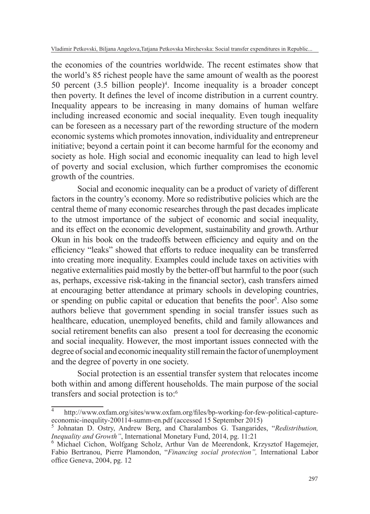the economies of the countries worldwide. The recent estimates show that the world's 85 richest people have the same amount of wealth as the poorest 50 percent (3.5 billion people)<sup>4</sup> . Income inequality is a broader concept then poverty. It defines the level of income distribution in a current country. Inequality appears to be increasing in many domains of human welfare including increased economic and social inequality. Even tough inequality can be foreseen as a necessary part of the rewording structure of the modern economic systems which promotes innovation, individuality and entrepreneur initiative; beyond a certain point it can become harmful for the economy and society as hole. High social and economic inequality can lead to high level of poverty and social exclusion, which further compromises the economic growth of the countries.

Social and economic inequality can be a product of variety of different factors in the country's economy. More so redistributive policies which are the central theme of many economic researches through the past decades implicate to the utmost importance of the subject of economic and social inequality, and its effect on the economic development, sustainability and growth. Arthur Okun in his book on the tradeoffs between efficiency and equity and on the efficiency "leaks" showed that efforts to reduce inequality can be transferred into creating more inequality. Examples could include taxes on activities with negative externalities paid mostly by the better-off but harmful to the poor (such as, perhaps, excessive risk-taking in the financial sector), cash transfers aimed at encouraging better attendance at primary schools in developing countries, or spending on public capital or education that benefits the poor<sup>5</sup>. Also some authors believe that government spending in social transfer issues such as healthcare, education, unemployed benefits, child and family allowances and social retirement benefits can also present a tool for decreasing the economic and social inequality. However, the most important issues connected with the degree of social and economic inequality still remain the factor of unemployment and the degree of poverty in one society.

Social protection is an essential transfer system that relocates income both within and among different households. The main purpose of the social transfers and social protection is to:<sup>6</sup>

<sup>4</sup> http://www.oxfam.org/sites/www.oxfam.org/files/bp-working-for-few-political-captureeconomic-inequlity-200114-summ-en.pdf (accessed 15 September 2015)

<sup>5</sup> Johnatan D. Ostry, Andrew Berg, and Charalambos G. Tsangarides, "*Redistribution, Inequality and Growth"*, International Monetary Fund, 2014, pg. 11:21

<sup>6</sup> Michael Cichon, Wolfgang Scholz, Arthur Van de Meerendonk, Krzysztof Hagemejer, Fabio Bertranou, Pierre Plamondon, "*Financing social protection",* International Labor office Geneva, 2004, pg. 12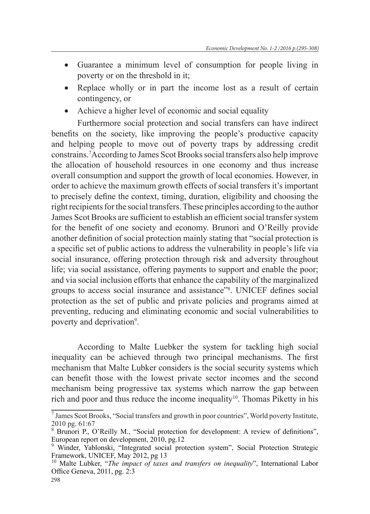- • Guarantee a minimum level of consumption for people living in poverty or on the threshold in it;
- • Replace wholly or in part the income lost as a result of certain contingency, or
- Achieve a higher level of economic and social equality

Furthermore social protection and social transfers can have indirect benefits on the society, like improving the people's productive capacity and helping people to move out of poverty traps by addressing credit constrains.7 According to James Scot Brooks social transfers also help improve the allocation of household resources in one economy and thus increase overall consumption and support the growth of local economies. However, in order to achieve the maximum growth effects of social transfers it's important to precisely define the context, timing, duration, eligibility and choosing the right recipients for the social transfers. These principles according to the author James Scot Brooks are sufficient to establish an efficient social transfer system for the benefit of one society and economy. Brunori and O'Reilly provide another definition of social protection mainly stating that "social protection is a specific set of public actions to address the vulnerability in people's life via social insurance, offering protection through risk and adversity throughout life; via social assistance, offering payments to support and enable the poor; and via social inclusion efforts that enhance the capability of the marginalized groups to access social insurance and assistance"<sup>8</sup> . UNICEF defines social protection as the set of public and private policies and programs aimed at preventing, reducing and eliminating economic and social vulnerabilities to poverty and deprivation<sup>9</sup>.

According to Malte Luebker the system for tackling high social inequality can be achieved through two principal mechanisms. The first mechanism that Malte Lubker considers is the social security systems which can benefit those with the lowest private sector incomes and the second mechanism being progressive tax systems which narrow the gap between rich and poor and thus reduce the income inequality<sup>10</sup>. Thomas Piketty in his

<sup>7</sup> James Scot Brooks, "Social transfers and growth in poor countries", World poverty Institute, 2010 pg. 61:67

<sup>8</sup> Brunori P., O'Reilly M., "Social protection for development: A review of definitions", European report on development, 2010, pg.12

<sup>&</sup>lt;sup>9</sup> Winder, Yablonski, "Integrated social protection system", Social Protection Strategic Framework, UNICEF, May 2012, pg 13

<sup>&</sup>lt;sup>10</sup> Malte Lubker, "The impact of taxes and transfers on inequality", International Labor Office Geneva, 2011, pg. 2:3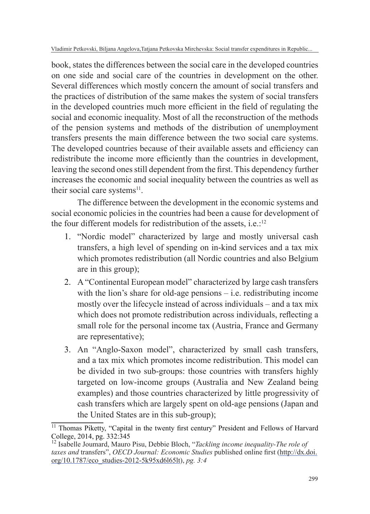Vladimir Petkovski, Biljana Angelova,Tatjana Petkovska Mirchevska: Social transfer expenditures in Republic...

book, states the differences between the social care in the developed countries on one side and social care of the countries in development on the other. Several differences which mostly concern the amount of social transfers and the practices of distribution of the same makes the system of social transfers in the developed countries much more efficient in the field of regulating the social and economic inequality. Most of all the reconstruction of the methods of the pension systems and methods of the distribution of unemployment transfers presents the main difference between the two social care systems. The developed countries because of their available assets and efficiency can redistribute the income more efficiently than the countries in development, leaving the second ones still dependent from the first. This dependency further increases the economic and social inequality between the countries as well as their social care systems<sup>11</sup>.

The difference between the development in the economic systems and social economic policies in the countries had been a cause for development of the four different models for redistribution of the assets, i.e.: $12$ 

- 1. "Nordic model" characterized by large and mostly universal cash transfers, a high level of spending on in-kind services and a tax mix which promotes redistribution (all Nordic countries and also Belgium are in this group);
- 2. A "Continental European model" characterized by large cash transfers with the lion's share for old-age pensions – i.e. redistributing income mostly over the lifecycle instead of across individuals – and a tax mix which does not promote redistribution across individuals, reflecting a small role for the personal income tax (Austria, France and Germany are representative);
- 3. An "Anglo-Saxon model", characterized by small cash transfers, and a tax mix which promotes income redistribution. This model can be divided in two sub-groups: those countries with transfers highly targeted on low-income groups (Australia and New Zealand being examples) and those countries characterized by little progressivity of cash transfers which are largely spent on old-age pensions (Japan and the United States are in this sub-group);

<sup>&</sup>lt;sup>11</sup> Thomas Piketty, "Capital in the twenty first century" President and Fellows of Harvard College, 2014, pg. 332:345

<sup>12</sup> Isabelle Joumard, Mauro Pisu, Debbie Bloch, "*Tackling income inequality-The role of taxes and* transfers", *OECD Journal: Economic Studies* published online first (http://dx.doi. org/10.1787/eco\_studies-2012-5k95xd6l65lt), *pg. 3:4*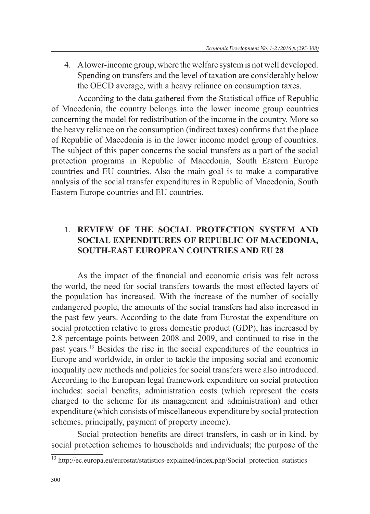4. A lower-income group, where the welfare system is not well developed. Spending on transfers and the level of taxation are considerably below the OECD average, with a heavy reliance on consumption taxes.

According to the data gathered from the Statistical office of Republic of Macedonia, the country belongs into the lower income group countries concerning the model for redistribution of the income in the country. More so the heavy reliance on the consumption (indirect taxes) confirms that the place of Republic of Macedonia is in the lower income model group of countries. The subject of this paper concerns the social transfers as a part of the social protection programs in Republic of Macedonia, South Eastern Europe countries and EU countries. Also the main goal is to make a comparative analysis of the social transfer expenditures in Republic of Macedonia, South Eastern Europe countries and EU countries.

## 1. **REVIEW OF THE SOCIAL PROTECTION SYSTEM AND SOCIAL EXPENDITURES OF REPUBLIC OF MACEDONIA, SOUTH-EAST EUROPEAN COUNTRIES AND EU 28**

As the impact of the financial and economic crisis was felt across the world, the need for social transfers towards the most effected layers of the population has increased. With the increase of the number of socially endangered people, the amounts of the social transfers had also increased in the past few years. According to the date from Eurostat the expenditure on social protection relative to gross domestic product (GDP), has increased by 2.8 percentage points between 2008 and 2009, and continued to rise in the past years.<sup>13</sup> Besides the rise in the social expenditures of the countries in Europe and worldwide, in order to tackle the imposing social and economic inequality new methods and policies for social transfers were also introduced. According to the European legal framework expenditure on social protection includes: social benefits, administration costs (which represent the costs charged to the scheme for its management and administration) and other expenditure (which consists of miscellaneous expenditure by social protection schemes, principally, payment of property income).

Social protection benefits are direct transfers, in cash or in kind, by social protection schemes to households and individuals; the purpose of the

<sup>&</sup>lt;sup>13</sup> http://ec.europa.eu/eurostat/statistics-explained/index.php/Social\_protection\_statistics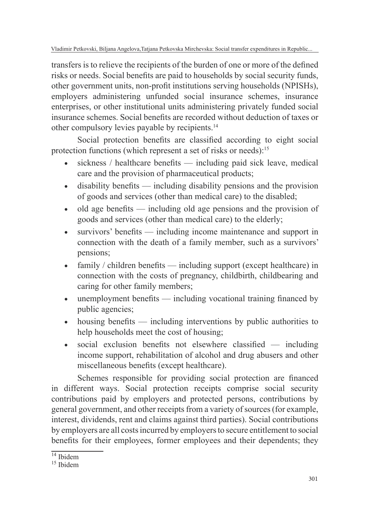Vladimir Petkovski, Biljana Angelova,Tatjana Petkovska Mirchevska: Social transfer expenditures in Republic...

transfers is to relieve the recipients of the burden of one or more of the defined risks or needs. Social benefits are paid to households by social security funds, other government units, non-profit institutions serving households (NPISHs), employers administering unfunded social insurance schemes, insurance enterprises, or other institutional units administering privately funded social insurance schemes. Social benefits are recorded without deduction of taxes or other compulsory levies payable by recipients.<sup>14</sup>

Social protection benefits are classified according to eight social protection functions (which represent a set of risks or needs):<sup>15</sup>

- sickness / healthcare benefits including paid sick leave, medical care and the provision of pharmaceutical products;
- disability benefits including disability pensions and the provision of goods and services (other than medical care) to the disabled;
- old age benefits including old age pensions and the provision of goods and services (other than medical care) to the elderly;
- survivors' benefits including income maintenance and support in connection with the death of a family member, such as a survivors' pensions;
- family / children benefits including support (except healthcare) in connection with the costs of pregnancy, childbirth, childbearing and caring for other family members;
- unemployment benefits including vocational training financed by public agencies;
- housing benefits including interventions by public authorities to help households meet the cost of housing;
- social exclusion benefits not elsewhere classified including income support, rehabilitation of alcohol and drug abusers and other miscellaneous benefits (except healthcare).

Schemes responsible for providing social protection are financed in different ways. Social protection receipts comprise social security contributions paid by employers and protected persons, contributions by general government, and other receipts from a variety of sources (for example, interest, dividends, rent and claims against third parties). Social contributions by employers are all costs incurred by employers to secure entitlement to social benefits for their employees, former employees and their dependents; they

 $14$  Ibidem

 $15$  Ibidem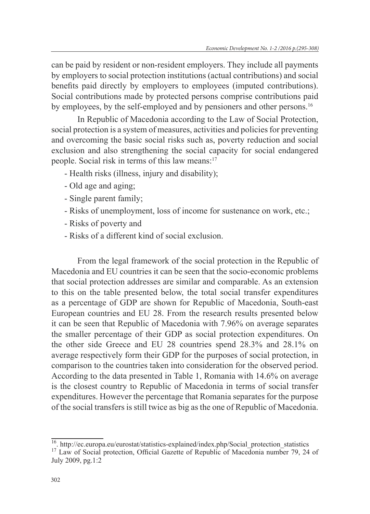can be paid by resident or non-resident employers. They include all payments by employers to social protection institutions (actual contributions) and social benefits paid directly by employers to employees (imputed contributions). Social contributions made by protected persons comprise contributions paid by employees, by the self-employed and by pensioners and other persons.<sup>16</sup>

In Republic of Macedonia according to the Law of Social Protection, social protection is a system of measures, activities and policies for preventing and overcoming the basic social risks such as, poverty reduction and social exclusion and also strengthening the social capacity for social endangered people. Social risk in terms of this law means:<sup>17</sup>

- Health risks (illness, injury and disability);
- Old age and aging;
- Single parent family;
- Risks of unemployment, loss of income for sustenance on work, etc.;
- Risks of poverty and
- Risks of a different kind of social exclusion.

From the legal framework of the social protection in the Republic of Macedonia and EU countries it can be seen that the socio-economic problems that social protection addresses are similar and comparable. As an extension to this on the table presented below, the total social transfer expenditures as a percentage of GDP are shown for Republic of Macedonia, South-east European countries and EU 28. From the research results presented below it can be seen that Republic of Macedonia with 7.96% on average separates the smaller percentage of their GDP as social protection expenditures. On the other side Greece and EU 28 countries spend 28.3% and 28.1% on average respectively form their GDP for the purposes of social protection, in comparison to the countries taken into consideration for the observed period. According to the data presented in Table 1, Romania with 14.6% on average is the closest country to Republic of Macedonia in terms of social transfer expenditures. However the percentage that Romania separates for the purpose of the social transfers is still twice as big as the one of Republic of Macedonia.

<sup>&</sup>lt;sup>16</sup>. http://ec.europa.eu/eurostat/statistics-explained/index.php/Social\_protection\_statistics

<sup>&</sup>lt;sup>17</sup> Law of Social protection, Official Gazette of Republic of Macedonia number 79, 24 of July 2009, pg.1:2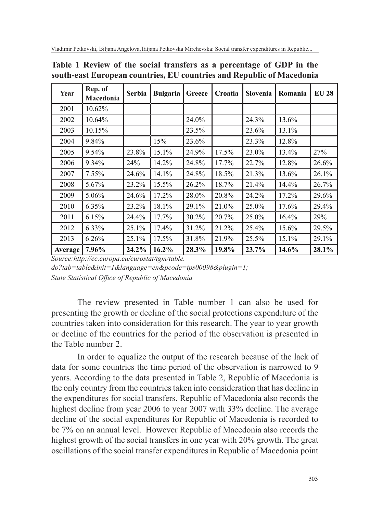| Year    | Rep. of<br>Macedonia | Serbia | <b>Bulgaria</b> | Greece | Croatia | Slovenia | Romania | <b>EU 28</b> |
|---------|----------------------|--------|-----------------|--------|---------|----------|---------|--------------|
| 2001    | 10.62%               |        |                 |        |         |          |         |              |
| 2002    | 10.64%               |        |                 | 24.0%  |         | 24.3%    | 13.6%   |              |
| 2003    | 10.15%               |        |                 | 23.5%  |         | 23.6%    | 13.1%   |              |
| 2004    | 9.84%                |        | 15%             | 23.6%  |         | 23.3%    | 12.8%   |              |
| 2005    | 9.54%                | 23.8%  | 15.1%           | 24.9%  | 17.5%   | 23.0%    | 13.4%   | 27%          |
| 2006    | 9.34%                | 24%    | 14.2%           | 24.8%  | 17.7%   | 22.7%    | 12.8%   | 26.6%        |
| 2007    | 7.55%                | 24.6%  | 14.1%           | 24.8%  | 18.5%   | 21.3%    | 13.6%   | 26.1%        |
| 2008    | 5.67%                | 23.2%  | 15.5%           | 26.2%  | 18.7%   | 21.4%    | 14.4%   | 26.7%        |
| 2009    | 5.06%                | 24.6%  | 17.2%           | 28.0%  | 20.8%   | 24.2%    | 17.2%   | 29.6%        |
| 2010    | $6.35\%$             | 23.2%  | 18.1%           | 29.1%  | 21.0%   | 25.0%    | 17.6%   | 29.4%        |
| 2011    | 6.15%                | 24.4%  | 17.7%           | 30.2%  | 20.7%   | 25.0%    | 16.4%   | 29%          |
| 2012    | 6.33%                | 25.1%  | 17.4%           | 31.2%  | 21.2%   | 25.4%    | 15.6%   | 29.5%        |
| 2013    | 6.26%                | 25.1%  | 17.5%           | 31.8%  | 21.9%   | 25.5%    | 15.1%   | 29.1%        |
| Average | 7.96%                | 24.2%  | 16.2%           | 28.3%  | 19.8%   | 23.7%    | 14.6%   | 28.1%        |

**Table 1 Review of the social transfers as a percentage of GDP in the south-east European countries, EU countries and Republic of Macedonia**

*Source:http://ec.europa.eu/eurostat/tgm/table.*

*do?tab=table&init=1&language=en&pcode=tps00098&plugin=1; State Statistical Office of Republic of Macedonia*

The review presented in Table number 1 can also be used for presenting the growth or decline of the social protections expenditure of the countries taken into consideration for this research. The year to year growth or decline of the countries for the period of the observation is presented in the Table number 2.

In order to equalize the output of the research because of the lack of data for some countries the time period of the observation is narrowed to 9 years. According to the data presented in Table 2, Republic of Macedonia is the only country from the countries taken into consideration that has decline in the expenditures for social transfers. Republic of Macedonia also records the highest decline from year 2006 to year 2007 with 33% decline. The average decline of the social expenditures for Republic of Macedonia is recorded to be 7% on an annual level. However Republic of Macedonia also records the highest growth of the social transfers in one year with 20% growth. The great oscillations of the social transfer expenditures in Republic of Macedonia point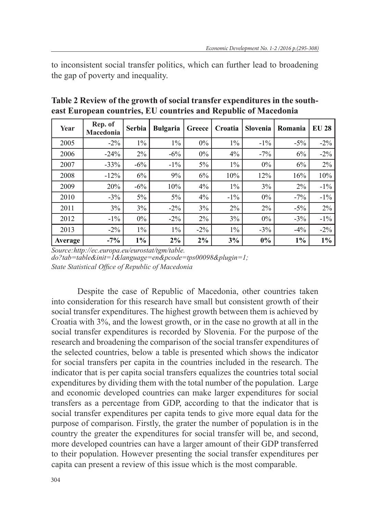to inconsistent social transfer politics, which can further lead to broadening the gap of poverty and inequality.

| Year    | Rep. of<br>Macedonia | Serbia | <b>Bulgaria</b> | Greece | Croatia | Slovenia | Romania | <b>EU 28</b> |
|---------|----------------------|--------|-----------------|--------|---------|----------|---------|--------------|
| 2005    | $-2\%$               | $1\%$  | $1\%$           | $0\%$  | $1\%$   | $-1\%$   | $-5\%$  | $-2\%$       |
| 2006    | $-24%$               | 2%     | $-6\%$          | $0\%$  | 4%      | $-7\%$   | 6%      | $-2\%$       |
| 2007    | $-33%$               | $-6\%$ | $-1\%$          | $5\%$  | $1\%$   | $0\%$    | 6%      | 2%           |
| 2008    | $-12%$               | 6%     | 9%              | 6%     | 10%     | 12%      | 16%     | 10%          |
| 2009    | 20%                  | $-6\%$ | 10%             | 4%     | $1\%$   | 3%       | $2\%$   | $-1\%$       |
| 2010    | $-3\%$               | 5%     | $5\%$           | 4%     | $-1\%$  | $0\%$    | $-7\%$  | $-1\%$       |
| 2011    | 3%                   | 3%     | $-2\%$          | 3%     | 2%      | 2%       | $-5\%$  | $2\%$        |
| 2012    | $-1\%$               | $0\%$  | $-2\%$          | 2%     | 3%      | $0\%$    | $-3\%$  | $-1\%$       |
| 2013    | $-2\%$               | $1\%$  | $1\%$           | $-2\%$ | $1\%$   | $-3\%$   | $-4\%$  | $-2\%$       |
| Average | $-7\%$               | $1\%$  | 2%              | $2\%$  | 3%      | $0\%$    | $1\%$   | $1\%$        |

**Table 2 Review of the growth of social transfer expenditures in the southeast European countries, EU countries and Republic of Macedonia** 

*Source:http://ec.europa.eu/eurostat/tgm/table. do?tab=table&init=1&language=en&pcode=tps00098&plugin=1; State Statistical Office of Republic of Macedonia*

Despite the case of Republic of Macedonia, other countries taken into consideration for this research have small but consistent growth of their social transfer expenditures. The highest growth between them is achieved by Croatia with 3%, and the lowest growth, or in the case no growth at all in the social transfer expenditures is recorded by Slovenia. For the purpose of the research and broadening the comparison of the social transfer expenditures of the selected countries, below a table is presented which shows the indicator for social transfers per capita in the countries included in the research. The indicator that is per capita social transfers equalizes the countries total social expenditures by dividing them with the total number of the population. Large and economic developed countries can make larger expenditures for social transfers as a percentage from GDP, according to that the indicator that is social transfer expenditures per capita tends to give more equal data for the purpose of comparison. Firstly, the grater the number of population is in the country the greater the expenditures for social transfer will be, and second, more developed countries can have a larger amount of their GDP transferred to their population. However presenting the social transfer expenditures per capita can present a review of this issue which is the most comparable.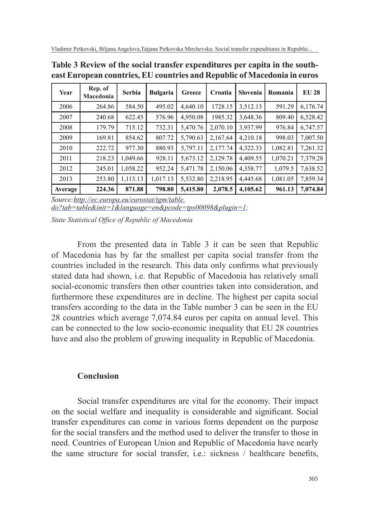| Year    | Rep. of<br>Macedonia | Serbia   | <b>Bulgaria</b> | Greece   | Croatia  | Slovenia | Romania  | <b>EU 28</b> |
|---------|----------------------|----------|-----------------|----------|----------|----------|----------|--------------|
| 2006    | 264.86               | 584.50   | 495.02          | 4,640.10 | 1728.15  | 3,512.13 | 591.29   | 6,176.74     |
| 2007    | 240.68               | 622.45   | 576.96          | 4,950.08 | 1985.32  | 3,648.36 | 809.40   | 6,528.42     |
| 2008    | 179.79               | 715.12   | 732.31          | 5,470.76 | 2,070.10 | 3,937.99 | 976.84   | 6,747.57     |
| 2009    | 169.81               | 854.62   | 807.72          | 5,790.63 | 2,167.64 | 4,210.18 | 998.03   | 7,007.50     |
| 2010    | 222.72               | 977.30   | 880.93          | 5,797.11 | 2,177.74 | 4,322.33 | 1,082.81 | 7,261.32     |
| 2011    | 218.23               | 1,049.66 | 928.11          | 5,673.12 | 2,129.78 | 4,409.55 | 1,070.21 | 7,379.28     |
| 2012    | 245.01               | 1.058.22 | 952.24          | 5,471.78 | 2,150.06 | 4,358.77 | 1,079.5  | 7.638.52     |
| 2013    | 253.80               | 1,113.13 | 1,017.13        | 5,532.80 | 2,218.95 | 4,445.68 | 1,081.05 | 7,859.34     |
| Average | 224.36               | 871.88   | 798.80          | 5,415.80 | 2,078.5  | 4,105.62 | 961.13   | 7,074.84     |

**Table 3 Review of the social transfer expenditures per capita in the southeast European countries, EU countries and Republic of Macedonia in euros**

*Source:http://ec.europa.eu/eurostat/tgm/table. do?tab=table&init=1&language=en&pcode=tps00098&plugin=1;*

*State Statistical Office of Republic of Macedonia*

From the presented data in Table 3 it can be seen that Republic of Macedonia has by far the smallest per capita social transfer from the countries included in the research. This data only confirms what previously stated data had shown, i.e. that Republic of Macedonia has relatively small social-economic transfers then other countries taken into consideration, and furthermore these expenditures are in decline. The highest per capita social transfers according to the data in the Table number 3 can be seen in the EU 28 countries which average 7,074.84 euros per capita on annual level. This can be connected to the low socio-economic inequality that EU 28 countries have and also the problem of growing inequality in Republic of Macedonia.

## **Conclusion**

Social transfer expenditures are vital for the economy. Their impact on the social welfare and inequality is considerable and significant. Social transfer expenditures can come in various forms dependent on the purpose for the social transfers and the method used to deliver the transfer to those in need. Countries of European Union and Republic of Macedonia have nearly the same structure for social transfer, i.e.: sickness / healthcare benefits,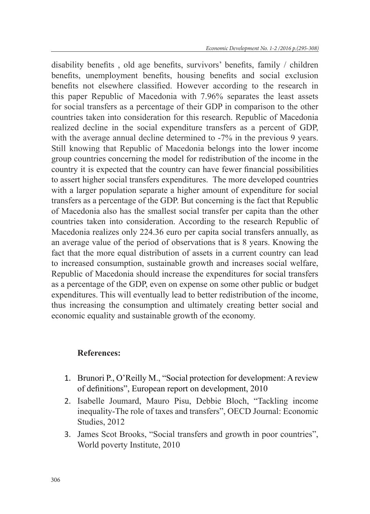disability benefits , old age benefits, survivors' benefits, family / children benefits, unemployment benefits, housing benefits and social exclusion benefits not elsewhere classified. However according to the research in this paper Republic of Macedonia with 7.96% separates the least assets for social transfers as a percentage of their GDP in comparison to the other countries taken into consideration for this research. Republic of Macedonia realized decline in the social expenditure transfers as a percent of GDP, with the average annual decline determined to  $-7\%$  in the previous 9 years. Still knowing that Republic of Macedonia belongs into the lower income group countries concerning the model for redistribution of the income in the country it is expected that the country can have fewer financial possibilities to assert higher social transfers expenditures. The more developed countries with a larger population separate a higher amount of expenditure for social transfers as a percentage of the GDP. But concerning is the fact that Republic of Macedonia also has the smallest social transfer per capita than the other countries taken into consideration. According to the research Republic of Macedonia realizes only 224.36 euro per capita social transfers annually, as an average value of the period of observations that is 8 years. Knowing the fact that the more equal distribution of assets in a current country can lead to increased consumption, sustainable growth and increases social welfare, Republic of Macedonia should increase the expenditures for social transfers as a percentage of the GDP, even on expense on some other public or budget expenditures. This will eventually lead to better redistribution of the income, thus increasing the consumption and ultimately creating better social and economic equality and sustainable growth of the economy.

## **References:**

- 1. Brunori P., O'Reilly M., "Social protection for development: A review of definitions", European report on development, 2010
- 2. Isabelle Joumard, Mauro Pisu, Debbie Bloch, "Tackling income inequality-The role of taxes and transfers", OECD Journal: Economic Studies, 2012
- 3. James Scot Brooks, "Social transfers and growth in poor countries", World poverty Institute, 2010